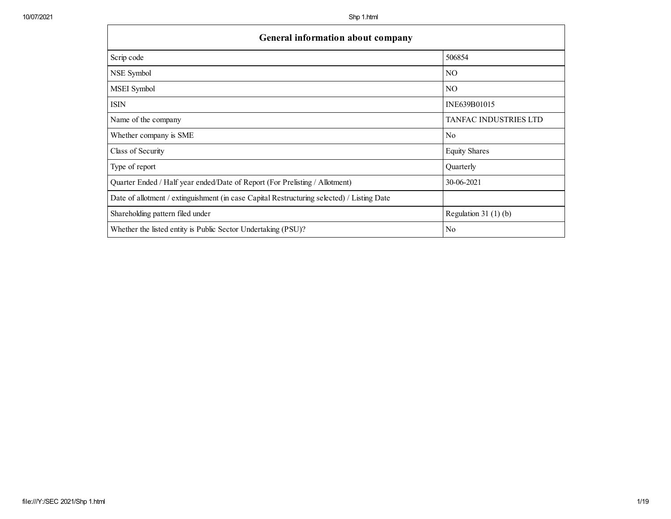г

| General information about company                                                          |                       |  |  |  |  |  |  |
|--------------------------------------------------------------------------------------------|-----------------------|--|--|--|--|--|--|
| Scrip code                                                                                 | 506854                |  |  |  |  |  |  |
| NSE Symbol                                                                                 | NO.                   |  |  |  |  |  |  |
| MSEI Symbol                                                                                | N <sub>O</sub>        |  |  |  |  |  |  |
| <b>ISIN</b>                                                                                | INE639B01015          |  |  |  |  |  |  |
| Name of the company                                                                        | TANFAC INDUSTRIES LTD |  |  |  |  |  |  |
| Whether company is SME                                                                     | N <sub>0</sub>        |  |  |  |  |  |  |
| Class of Security                                                                          | <b>Equity Shares</b>  |  |  |  |  |  |  |
| Type of report                                                                             | Quarterly             |  |  |  |  |  |  |
| Quarter Ended / Half year ended/Date of Report (For Prelisting / Allotment)                | 30-06-2021            |  |  |  |  |  |  |
| Date of allotment / extinguishment (in case Capital Restructuring selected) / Listing Date |                       |  |  |  |  |  |  |
| Shareholding pattern filed under                                                           | Regulation $31(1)(b)$ |  |  |  |  |  |  |
| Whether the listed entity is Public Sector Undertaking (PSU)?                              | No                    |  |  |  |  |  |  |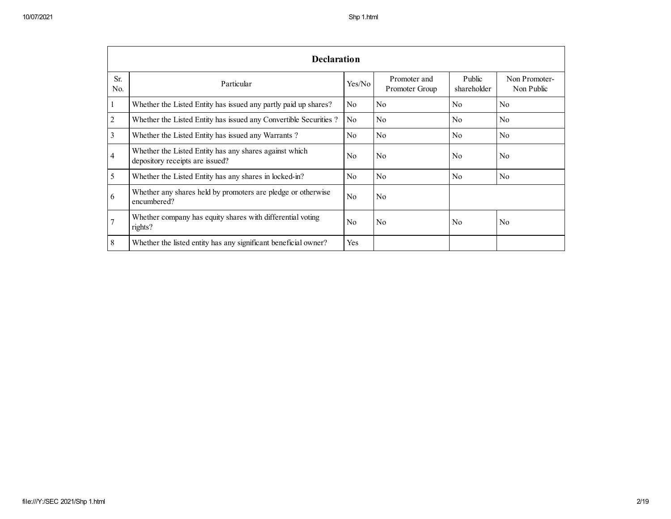|                       | <b>Declaration</b>                                                                        |                |                                |                       |                             |  |  |  |  |  |  |
|-----------------------|-------------------------------------------------------------------------------------------|----------------|--------------------------------|-----------------------|-----------------------------|--|--|--|--|--|--|
| Sr.<br>N <sub>0</sub> | Particular                                                                                | Yes/No         | Promoter and<br>Promoter Group | Public<br>shareholder | Non Promoter-<br>Non Public |  |  |  |  |  |  |
|                       | Whether the Listed Entity has issued any partly paid up shares?                           | N <sub>0</sub> | N <sub>0</sub>                 | No                    | N <sub>0</sub>              |  |  |  |  |  |  |
| 2                     | Whether the Listed Entity has issued any Convertible Securities?                          | N <sub>0</sub> | No                             | No                    | No                          |  |  |  |  |  |  |
| 3                     | Whether the Listed Entity has issued any Warrants?                                        | N <sub>0</sub> | N <sub>0</sub>                 | No                    | N <sub>0</sub>              |  |  |  |  |  |  |
| 4                     | Whether the Listed Entity has any shares against which<br>depository receipts are issued? | No             | N <sub>0</sub>                 | N <sub>0</sub>        | No                          |  |  |  |  |  |  |
| 5                     | Whether the Listed Entity has any shares in locked-in?                                    | N <sub>0</sub> | N <sub>0</sub>                 | No                    | No                          |  |  |  |  |  |  |
| 6                     | Whether any shares held by promoters are pledge or otherwise<br>encumbered?               | N <sub>0</sub> | N <sub>0</sub>                 |                       |                             |  |  |  |  |  |  |
|                       | Whether company has equity shares with differential voting<br>rights?                     | N <sub>0</sub> | No                             | N <sub>0</sub>        | No                          |  |  |  |  |  |  |
| 8                     | Whether the listed entity has any significant beneficial owner?                           | Yes            |                                |                       |                             |  |  |  |  |  |  |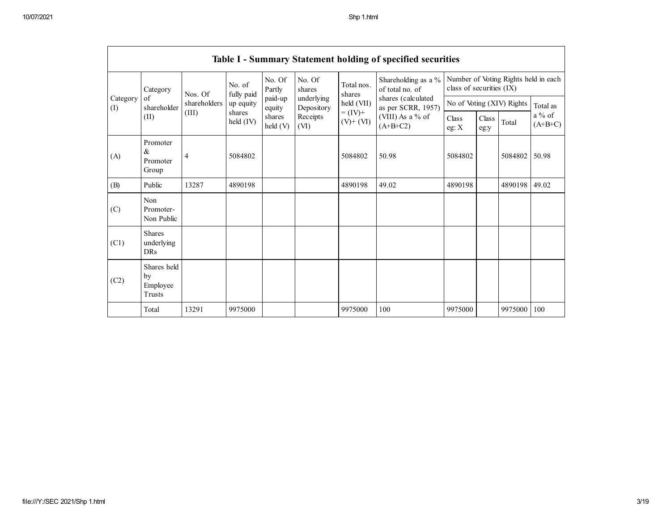|                 | Table I - Summary Statement holding of specified securities |                                  |                      |                    |                          |                                                                    |                                                                                                                      |                                                                  |               |         |                       |  |  |
|-----------------|-------------------------------------------------------------|----------------------------------|----------------------|--------------------|--------------------------|--------------------------------------------------------------------|----------------------------------------------------------------------------------------------------------------------|------------------------------------------------------------------|---------------|---------|-----------------------|--|--|
|                 | Category<br>of<br>shareholder<br>(II)                       | Nos. Of<br>shareholders<br>(III) | No. of<br>fully paid | No. Of<br>Partly   | No. Of<br>shares         | Total nos.<br>shares<br>held (VII)<br>$= (IV) +$<br>$(V)$ + $(VI)$ | Shareholding as a %<br>of total no. of<br>shares (calculated<br>as per SCRR, 1957)<br>(VIII) As a % of<br>$(A+B+C2)$ | Number of Voting Rights held in each<br>class of securities (IX) |               |         |                       |  |  |
| Category<br>(I) |                                                             |                                  | up equity            | paid-up<br>equity  | underlying<br>Depository |                                                                    |                                                                                                                      | No of Voting (XIV) Rights                                        |               |         | Total as              |  |  |
|                 |                                                             |                                  | shares<br>held (IV)  | shares<br>held (V) | Receipts<br>(VI)         |                                                                    |                                                                                                                      | Class<br>eg: $X$                                                 | Class<br>eg:y | Total   | $a\%$ of<br>$(A+B+C)$ |  |  |
| (A)             | Promoter<br>$\&$<br>Promoter<br>Group                       | $\overline{4}$                   | 5084802              |                    |                          | 5084802                                                            | 50.98                                                                                                                | 5084802                                                          |               | 5084802 | 50.98                 |  |  |
| (B)             | Public                                                      | 13287                            | 4890198              |                    |                          | 4890198                                                            | 49.02                                                                                                                | 4890198                                                          |               | 4890198 | 49.02                 |  |  |
| (C)             | Non<br>Promoter-<br>Non Public                              |                                  |                      |                    |                          |                                                                    |                                                                                                                      |                                                                  |               |         |                       |  |  |
| (C1)            | <b>Shares</b><br>underlying<br><b>DRs</b>                   |                                  |                      |                    |                          |                                                                    |                                                                                                                      |                                                                  |               |         |                       |  |  |
| (C2)            | Shares held<br>by<br>Employee<br>Trusts                     |                                  |                      |                    |                          |                                                                    |                                                                                                                      |                                                                  |               |         |                       |  |  |
|                 | Total                                                       | 13291                            | 9975000              |                    |                          | 9975000                                                            | 100                                                                                                                  | 9975000                                                          |               | 9975000 | 100                   |  |  |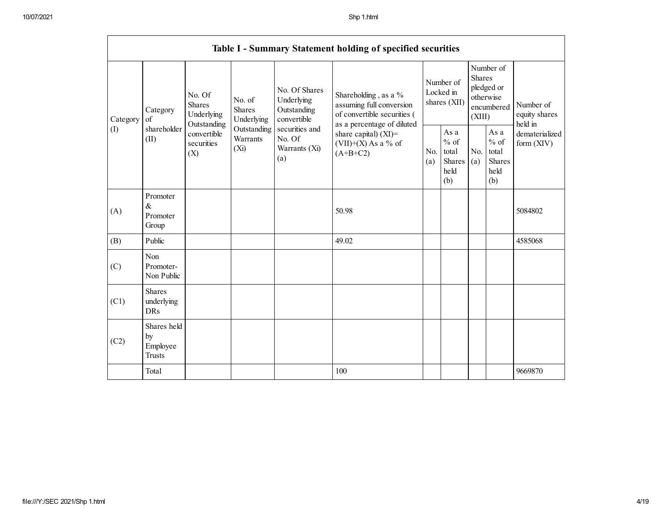|                 | Table I - Summary Statement holding of specified securities |                                                                                                                                                                         |                                                  |                                                                |                                                                                                               |                                                         |            |                                                                        |                                |                                       |  |
|-----------------|-------------------------------------------------------------|-------------------------------------------------------------------------------------------------------------------------------------------------------------------------|--------------------------------------------------|----------------------------------------------------------------|---------------------------------------------------------------------------------------------------------------|---------------------------------------------------------|------------|------------------------------------------------------------------------|--------------------------------|---------------------------------------|--|
| Category<br>(I) | Category<br>of<br>shareholder<br>(II)                       | No. Of<br>No. of<br><b>Shares</b><br><b>Shares</b><br>Underlying<br>Underlying<br>Outstanding<br>Outstanding<br>convertible<br>Warrants<br>securities<br>$(X_i)$<br>(X) |                                                  | No. Of Shares<br>Underlying<br>Outstanding<br>convertible      | Shareholding, as a %<br>assuming full conversion<br>of convertible securities (<br>as a percentage of diluted | Number of<br>Locked in<br>shares (XII)                  |            | Number of<br>Shares<br>pledged or<br>otherwise<br>encumbered<br>(XIII) |                                | Number of<br>equity shares<br>held in |  |
|                 |                                                             |                                                                                                                                                                         | securities and<br>No. Of<br>Warrants (Xi)<br>(a) | share capital) $(XI)$ =<br>$(VII)+(X)$ As a % of<br>$(A+B+C2)$ | No.<br>(a)                                                                                                    | As a<br>$%$ of<br>total<br><b>Shares</b><br>held<br>(b) | No.<br>(a) | As a<br>$%$ of<br>total<br><b>Shares</b><br>held<br>(b)                | dematerialized<br>form $(XIV)$ |                                       |  |
| (A)             | Promoter<br>$\&$<br>Promoter<br>Group                       |                                                                                                                                                                         |                                                  |                                                                | 50.98                                                                                                         |                                                         |            |                                                                        |                                | 5084802                               |  |
| (B)             | Public                                                      |                                                                                                                                                                         |                                                  |                                                                | 49.02                                                                                                         |                                                         |            |                                                                        |                                | 4585068                               |  |
| (C)             | Non<br>Promoter-<br>Non Public                              |                                                                                                                                                                         |                                                  |                                                                |                                                                                                               |                                                         |            |                                                                        |                                |                                       |  |
| (C1)            | <b>Shares</b><br>underlying<br><b>DRs</b>                   |                                                                                                                                                                         |                                                  |                                                                |                                                                                                               |                                                         |            |                                                                        |                                |                                       |  |
| (C2)            | Shares held<br>by<br>Employee<br><b>Trusts</b>              |                                                                                                                                                                         |                                                  |                                                                |                                                                                                               |                                                         |            |                                                                        |                                |                                       |  |
|                 | Total                                                       |                                                                                                                                                                         |                                                  |                                                                | 100                                                                                                           |                                                         |            |                                                                        |                                | 9669870                               |  |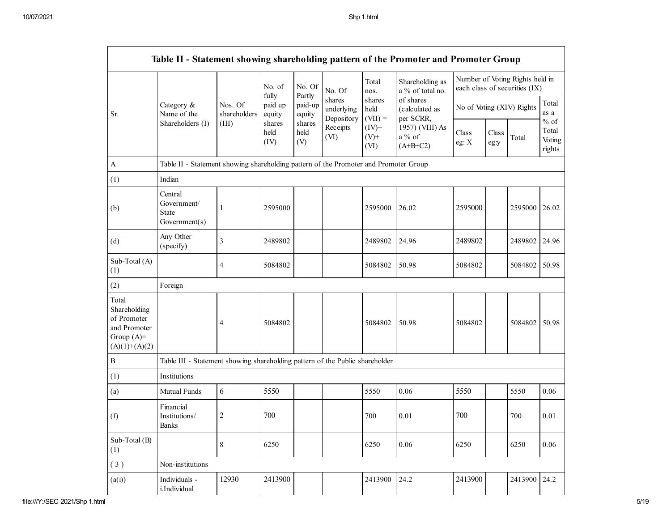|                                                                                         | Table II - Statement showing shareholding pattern of the Promoter and Promoter Group |                         |                            |                             |                                    |                             |                                           |                           |               |                                                                  |                                     |
|-----------------------------------------------------------------------------------------|--------------------------------------------------------------------------------------|-------------------------|----------------------------|-----------------------------|------------------------------------|-----------------------------|-------------------------------------------|---------------------------|---------------|------------------------------------------------------------------|-------------------------------------|
|                                                                                         |                                                                                      |                         | No. of                     | No. Of                      | No. Of                             | Total<br>nos.               | Shareholding as<br>a % of total no.       |                           |               | Number of Voting Rights held in<br>each class of securities (IX) |                                     |
| Sr.                                                                                     | Category &<br>Name of the<br>Shareholders (I)                                        | Nos. Of<br>shareholders | fully<br>paid up<br>equity | Partly<br>paid-up<br>equity | shares<br>underlying<br>Depository | shares<br>held<br>$(VII) =$ | of shares<br>(calculated as<br>per SCRR,  | No of Voting (XIV) Rights |               |                                                                  | Total<br>as a                       |
|                                                                                         |                                                                                      | (III)                   | shares<br>held<br>(IV)     | shares<br>held<br>(V)       | Receipts<br>(VI)                   | $(IV)^+$<br>$(V)+$<br>(VI)  | 1957) (VIII) As<br>$a\%$ of<br>$(A+B+C2)$ | Class<br>eg: X            | Class<br>eg:y | Total                                                            | $%$ of<br>Total<br>Voting<br>rights |
| $\boldsymbol{\mathsf{A}}$                                                               | Table II - Statement showing shareholding pattern of the Promoter and Promoter Group |                         |                            |                             |                                    |                             |                                           |                           |               |                                                                  |                                     |
| (1)                                                                                     | Indian                                                                               |                         |                            |                             |                                    |                             |                                           |                           |               |                                                                  |                                     |
| (b)                                                                                     | Central<br>Government/<br><b>State</b><br>Government(s)                              | 1                       | 2595000                    |                             |                                    | 2595000                     | 26.02                                     | 2595000                   |               | 2595000                                                          | 26.02                               |
| (d)                                                                                     | Any Other<br>(specify)                                                               | 3                       | 2489802                    |                             |                                    | 2489802                     | 24.96                                     | 2489802                   |               | 2489802                                                          | 24.96                               |
| Sub-Total (A)<br>(1)                                                                    |                                                                                      | 4                       | 5084802                    |                             |                                    | 5084802                     | 50.98                                     | 5084802                   |               | 5084802                                                          | 50.98                               |
| (2)                                                                                     | Foreign                                                                              |                         |                            |                             |                                    |                             |                                           |                           |               |                                                                  |                                     |
| Total<br>Shareholding<br>of Promoter<br>and Promoter<br>Group $(A)=$<br>$(A)(1)+(A)(2)$ |                                                                                      | 4                       | 5084802                    |                             |                                    | 5084802                     | 50.98                                     | 5084802                   |               | 5084802                                                          | 50.98                               |
| $\, {\bf B}$                                                                            | Table III - Statement showing shareholding pattern of the Public shareholder         |                         |                            |                             |                                    |                             |                                           |                           |               |                                                                  |                                     |
| (1)                                                                                     | Institutions                                                                         |                         |                            |                             |                                    |                             |                                           |                           |               |                                                                  |                                     |
| (a)                                                                                     | Mutual Funds                                                                         | 6                       | 5550                       |                             |                                    | 5550                        | 0.06                                      | 5550                      |               | 5550                                                             | 0.06                                |
| (f)                                                                                     | Financial<br>Institutions/<br>Banks                                                  | 2                       | 700                        |                             |                                    | 700                         | 0.01                                      | 700                       |               | 700                                                              | 0.01                                |
| Sub-Total (B)<br>(1)                                                                    |                                                                                      | 8                       | 6250                       |                             |                                    | 6250                        | 0.06                                      | 6250                      |               | 6250                                                             | 0.06                                |
| (3)                                                                                     | Non-institutions                                                                     |                         |                            |                             |                                    |                             |                                           |                           |               |                                                                  |                                     |
| (a(i))                                                                                  | Individuals -<br>i.Individual                                                        | 12930                   | 2413900                    |                             |                                    | 2413900                     | 24.2                                      | 2413900                   |               | 2413900                                                          | 24.2                                |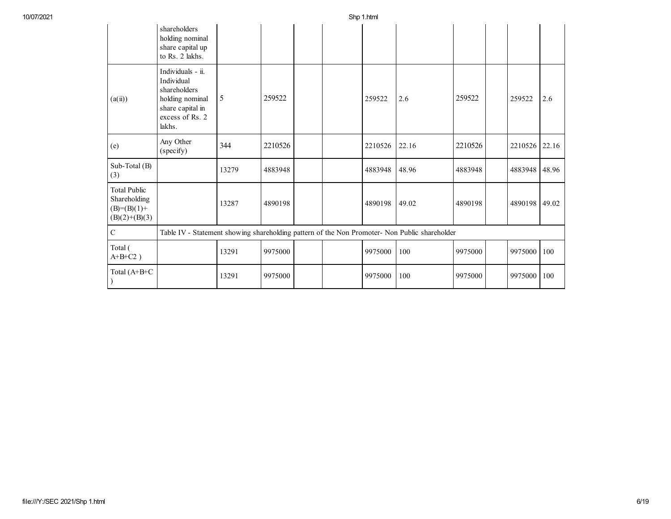|                                                                           | shareholders<br>holding nominal<br>share capital up<br>to Rs. 2 lakhs.                                              |       |         |  |         |       |         |         |       |
|---------------------------------------------------------------------------|---------------------------------------------------------------------------------------------------------------------|-------|---------|--|---------|-------|---------|---------|-------|
| (a(ii))                                                                   | Individuals - ii.<br>Individual<br>shareholders<br>holding nominal<br>share capital in<br>excess of Rs. 2<br>lakhs. | 5     | 259522  |  | 259522  | 2.6   | 259522  | 259522  | 2.6   |
| (e)                                                                       | Any Other<br>(specify)                                                                                              | 344   | 2210526 |  | 2210526 | 22.16 | 2210526 | 2210526 | 22.16 |
| Sub-Total (B)<br>(3)                                                      |                                                                                                                     | 13279 | 4883948 |  | 4883948 | 48.96 | 4883948 | 4883948 | 48.96 |
| <b>Total Public</b><br>Shareholding<br>$(B)= (B)(1) +$<br>$(B)(2)+(B)(3)$ |                                                                                                                     | 13287 | 4890198 |  | 4890198 | 49.02 | 4890198 | 4890198 | 49.02 |
| $\overline{C}$                                                            | Table IV - Statement showing shareholding pattern of the Non Promoter- Non Public shareholder                       |       |         |  |         |       |         |         |       |
| Total (<br>$A+B+C2$ )                                                     |                                                                                                                     | 13291 | 9975000 |  | 9975000 | 100   | 9975000 | 9975000 | 100   |
| Total (A+B+C                                                              |                                                                                                                     | 13291 | 9975000 |  | 9975000 | 100   | 9975000 | 9975000 | 100   |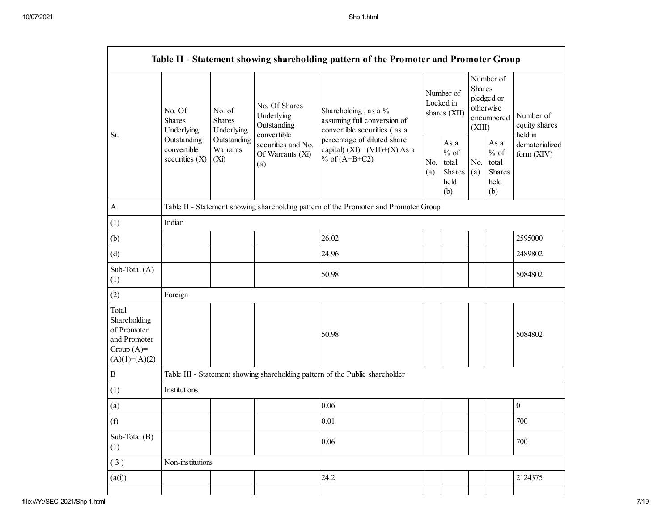| Table II - Statement showing shareholding pattern of the Promoter and Promoter Group    |                                                                                                                                       |                                                                                      |                                                              |                                                                                                                                                                           |  |                                                  |            |                                                                               |                                       |  |  |
|-----------------------------------------------------------------------------------------|---------------------------------------------------------------------------------------------------------------------------------------|--------------------------------------------------------------------------------------|--------------------------------------------------------------|---------------------------------------------------------------------------------------------------------------------------------------------------------------------------|--|--------------------------------------------------|------------|-------------------------------------------------------------------------------|---------------------------------------|--|--|
| Sr.                                                                                     | No. Of<br>No. of<br><b>Shares</b><br><b>Shares</b><br>Underlying<br>Outstanding<br>convertible<br>securities (X)<br>(X <sub>i</sub> ) | Underlying                                                                           | No. Of Shares<br>Underlying<br>Outstanding                   | Shareholding, as a %<br>assuming full conversion of<br>convertible securities (as a<br>percentage of diluted share<br>capital) $(XI) = (VII)+(X) As a$<br>% of $(A+B+C2)$ |  | Number of<br>Locked in<br>shares (XII)           |            | Number of<br><b>Shares</b><br>pledged or<br>otherwise<br>encumbered<br>(XIII) | Number of<br>equity shares<br>held in |  |  |
|                                                                                         |                                                                                                                                       | Outstanding<br>Warrants                                                              | convertible<br>securities and No.<br>Of Warrants (Xi)<br>(a) |                                                                                                                                                                           |  | As a<br>$%$ of<br>total<br>Shares<br>held<br>(b) | No.<br>(a) | As $\mathbf{a}$<br>$%$ of<br>total<br>Shares<br>held<br>(b)                   | dematerialized<br>form (XIV)          |  |  |
| $\boldsymbol{\rm{A}}$                                                                   |                                                                                                                                       | Table II - Statement showing shareholding pattern of the Promoter and Promoter Group |                                                              |                                                                                                                                                                           |  |                                                  |            |                                                                               |                                       |  |  |
| (1)                                                                                     | Indian                                                                                                                                |                                                                                      |                                                              |                                                                                                                                                                           |  |                                                  |            |                                                                               |                                       |  |  |
| (b)                                                                                     |                                                                                                                                       |                                                                                      |                                                              | 26.02                                                                                                                                                                     |  |                                                  |            |                                                                               | 2595000                               |  |  |
| (d)                                                                                     |                                                                                                                                       |                                                                                      |                                                              | 24.96                                                                                                                                                                     |  |                                                  |            |                                                                               | 2489802                               |  |  |
| Sub-Total (A)<br>(1)                                                                    |                                                                                                                                       |                                                                                      |                                                              | 50.98                                                                                                                                                                     |  |                                                  |            |                                                                               | 5084802                               |  |  |
| (2)                                                                                     | Foreign                                                                                                                               |                                                                                      |                                                              |                                                                                                                                                                           |  |                                                  |            |                                                                               |                                       |  |  |
| Total<br>Shareholding<br>of Promoter<br>and Promoter<br>Group $(A)=$<br>$(A)(1)+(A)(2)$ |                                                                                                                                       |                                                                                      |                                                              | 50.98                                                                                                                                                                     |  |                                                  |            |                                                                               | 5084802                               |  |  |
| $\, {\bf B}$                                                                            |                                                                                                                                       |                                                                                      |                                                              | Table III - Statement showing shareholding pattern of the Public shareholder                                                                                              |  |                                                  |            |                                                                               |                                       |  |  |
| (1)                                                                                     | Institutions                                                                                                                          |                                                                                      |                                                              |                                                                                                                                                                           |  |                                                  |            |                                                                               |                                       |  |  |
| (a)                                                                                     |                                                                                                                                       |                                                                                      |                                                              | 0.06                                                                                                                                                                      |  |                                                  |            |                                                                               | $\boldsymbol{0}$                      |  |  |
| (f)                                                                                     |                                                                                                                                       |                                                                                      |                                                              | 0.01                                                                                                                                                                      |  |                                                  |            |                                                                               | 700                                   |  |  |
| Sub-Total (B)<br>(1)                                                                    |                                                                                                                                       |                                                                                      |                                                              | 0.06                                                                                                                                                                      |  |                                                  |            |                                                                               | 700                                   |  |  |
| (3)                                                                                     | Non-institutions                                                                                                                      |                                                                                      |                                                              |                                                                                                                                                                           |  |                                                  |            |                                                                               |                                       |  |  |
| (a(i))                                                                                  |                                                                                                                                       |                                                                                      |                                                              | 24.2                                                                                                                                                                      |  |                                                  |            |                                                                               | 2124375                               |  |  |
|                                                                                         |                                                                                                                                       |                                                                                      |                                                              |                                                                                                                                                                           |  |                                                  |            |                                                                               |                                       |  |  |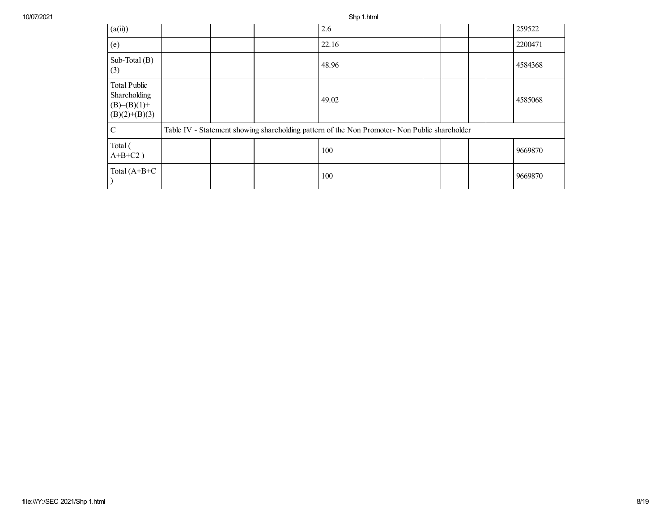10/07/2021 Shp 1.html

| (a(ii))                                                          |  | 2.6                                                                                           |  |  | 259522  |
|------------------------------------------------------------------|--|-----------------------------------------------------------------------------------------------|--|--|---------|
| (e)                                                              |  | 22.16                                                                                         |  |  | 2200471 |
| Sub-Total $(B)$<br>(3)                                           |  | 48.96                                                                                         |  |  | 4584368 |
| Total Public<br>Shareholding<br>$(B)=(B)(1)+$<br>$(B)(2)+(B)(3)$ |  | 49.02                                                                                         |  |  | 4585068 |
| C                                                                |  | Table IV - Statement showing shareholding pattern of the Non Promoter- Non Public shareholder |  |  |         |
| Total (<br>$A+B+C2$ )                                            |  | 100                                                                                           |  |  | 9669870 |
| Total $(A+B+C)$                                                  |  | 100                                                                                           |  |  | 9669870 |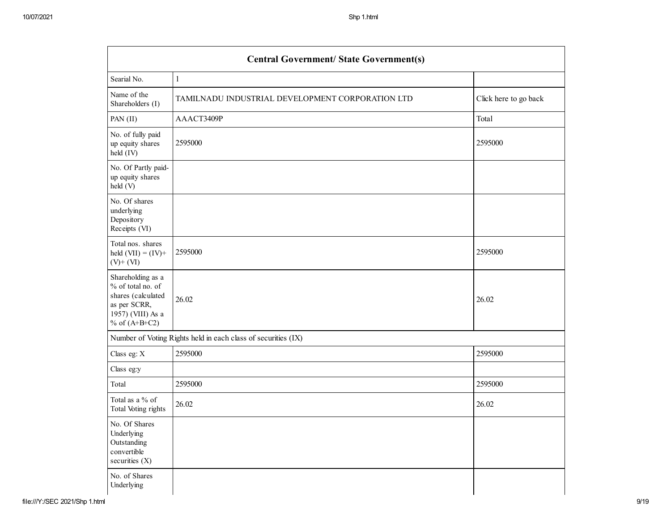| <b>Central Government/ State Government(s)</b>                                                                       |                                                               |                       |  |  |  |  |  |  |
|----------------------------------------------------------------------------------------------------------------------|---------------------------------------------------------------|-----------------------|--|--|--|--|--|--|
| Searial No.                                                                                                          | $\mathbf{1}$                                                  |                       |  |  |  |  |  |  |
| Name of the<br>Shareholders (I)                                                                                      | TAMILNADU INDUSTRIAL DEVELOPMENT CORPORATION LTD              | Click here to go back |  |  |  |  |  |  |
| PAN (II)                                                                                                             | AAACT3409P                                                    | Total                 |  |  |  |  |  |  |
| No. of fully paid<br>up equity shares<br>held (IV)                                                                   | 2595000                                                       | 2595000               |  |  |  |  |  |  |
| No. Of Partly paid-<br>up equity shares<br>held (V)                                                                  |                                                               |                       |  |  |  |  |  |  |
| No. Of shares<br>underlying<br>Depository<br>Receipts (VI)                                                           |                                                               |                       |  |  |  |  |  |  |
| Total nos. shares<br>held $(VII) = (IV) +$<br>$(V)$ + $(VI)$                                                         | 2595000                                                       | 2595000               |  |  |  |  |  |  |
| Shareholding as a<br>% of total no. of<br>shares (calculated<br>as per SCRR,<br>1957) (VIII) As a<br>% of $(A+B+C2)$ | 26.02                                                         | 26.02                 |  |  |  |  |  |  |
|                                                                                                                      | Number of Voting Rights held in each class of securities (IX) |                       |  |  |  |  |  |  |
| Class eg: X                                                                                                          | 2595000                                                       | 2595000               |  |  |  |  |  |  |
| Class eg:y                                                                                                           |                                                               |                       |  |  |  |  |  |  |
| Total                                                                                                                | 2595000                                                       | 2595000               |  |  |  |  |  |  |
| Total as a % of<br>Total Voting rights                                                                               | 26.02                                                         | 26.02                 |  |  |  |  |  |  |
| No. Of Shares<br>Underlying<br>Outstanding<br>convertible<br>securities (X)                                          |                                                               |                       |  |  |  |  |  |  |
| No. of Shares<br>Underlying                                                                                          |                                                               |                       |  |  |  |  |  |  |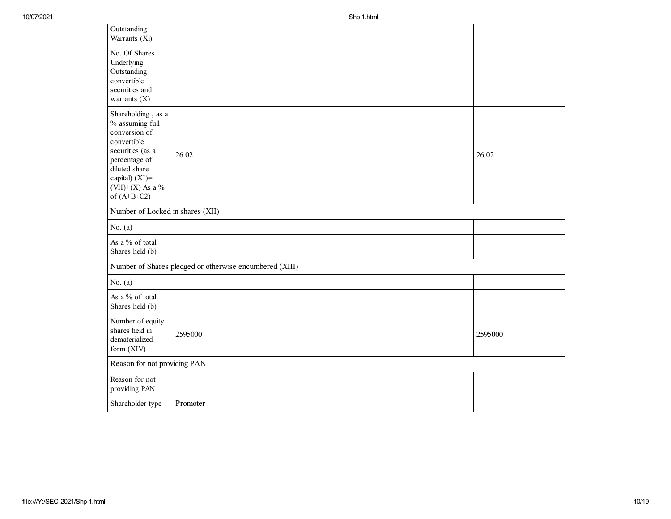| Outstanding<br>Warrants (Xi)                                                                                                                                                         |                                                         |         |
|--------------------------------------------------------------------------------------------------------------------------------------------------------------------------------------|---------------------------------------------------------|---------|
| No. Of Shares<br>Underlying<br>Outstanding<br>convertible<br>securities and<br>warrants $(X)$                                                                                        |                                                         |         |
| Shareholding, as a<br>% assuming full<br>conversion of<br>convertible<br>securities (as a<br>percentage of<br>diluted share<br>capital) (XI)=<br>$(VII)+(X)$ As a %<br>of $(A+B+C2)$ | 26.02                                                   | 26.02   |
| Number of Locked in shares (XII)                                                                                                                                                     |                                                         |         |
| No. $(a)$                                                                                                                                                                            |                                                         |         |
| As a % of total<br>Shares held (b)                                                                                                                                                   |                                                         |         |
|                                                                                                                                                                                      | Number of Shares pledged or otherwise encumbered (XIII) |         |
| No. $(a)$                                                                                                                                                                            |                                                         |         |
| As a % of total<br>Shares held (b)                                                                                                                                                   |                                                         |         |
| Number of equity<br>shares held in<br>dematerialized<br>form (XIV)                                                                                                                   | 2595000                                                 | 2595000 |
| Reason for not providing PAN                                                                                                                                                         |                                                         |         |
| Reason for not<br>providing PAN                                                                                                                                                      |                                                         |         |
| Shareholder type                                                                                                                                                                     | Promoter                                                |         |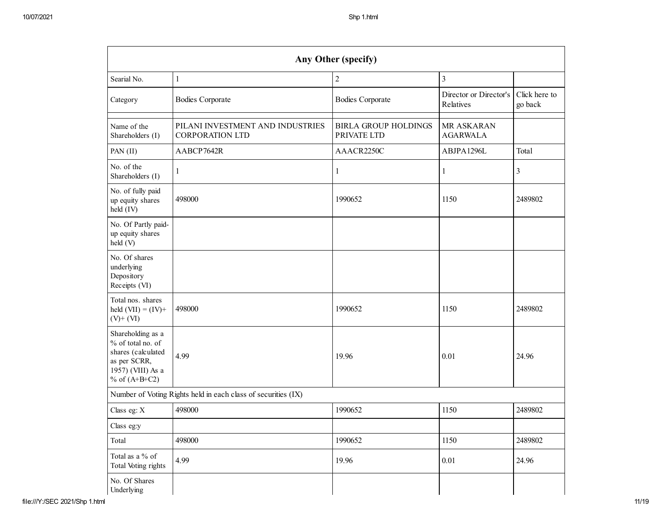| Any Other (specify)                                                                                                  |                                                               |                                            |                                     |                          |  |  |  |  |  |  |
|----------------------------------------------------------------------------------------------------------------------|---------------------------------------------------------------|--------------------------------------------|-------------------------------------|--------------------------|--|--|--|--|--|--|
| Searial No.                                                                                                          | $\mathbf{1}$                                                  | $\overline{2}$                             | $\overline{3}$                      |                          |  |  |  |  |  |  |
| Category                                                                                                             | <b>Bodies Corporate</b>                                       | <b>Bodies Corporate</b>                    | Director or Director's<br>Relatives | Click here to<br>go back |  |  |  |  |  |  |
| Name of the<br>Shareholders (I)                                                                                      | PILANI INVESTMENT AND INDUSTRIES<br><b>CORPORATION LTD</b>    | <b>BIRLA GROUP HOLDINGS</b><br>PRIVATE LTD | MR ASKARAN<br><b>AGARWALA</b>       |                          |  |  |  |  |  |  |
| PAN (II)                                                                                                             | AABCP7642R                                                    | AAACR2250C                                 | ABJPA1296L                          | Total                    |  |  |  |  |  |  |
| No. of the<br>Shareholders (I)                                                                                       | 1                                                             | $\mathbf{1}$                               | $\mathbf{1}$                        | $\mathfrak{Z}$           |  |  |  |  |  |  |
| No. of fully paid<br>up equity shares<br>held (IV)                                                                   | 498000                                                        | 1990652                                    | 1150                                | 2489802                  |  |  |  |  |  |  |
| No. Of Partly paid-<br>up equity shares<br>held (V)                                                                  |                                                               |                                            |                                     |                          |  |  |  |  |  |  |
| No. Of shares<br>underlying<br>Depository<br>Receipts (VI)                                                           |                                                               |                                            |                                     |                          |  |  |  |  |  |  |
| Total nos. shares<br>held $(VII) = (IV) +$<br>$(V)$ + $(VI)$                                                         | 498000                                                        | 1990652                                    | 1150                                | 2489802                  |  |  |  |  |  |  |
| Shareholding as a<br>% of total no. of<br>shares (calculated<br>as per SCRR,<br>1957) (VIII) As a<br>% of $(A+B+C2)$ | 4.99                                                          | 19.96                                      | 0.01                                | 24.96                    |  |  |  |  |  |  |
|                                                                                                                      | Number of Voting Rights held in each class of securities (IX) |                                            |                                     |                          |  |  |  |  |  |  |
| Class eg: X                                                                                                          | 498000                                                        | 1990652                                    | 1150                                | 2489802                  |  |  |  |  |  |  |
| Class eg:y                                                                                                           |                                                               |                                            |                                     |                          |  |  |  |  |  |  |
| Total                                                                                                                | 498000                                                        | 1990652                                    | 1150                                | 2489802                  |  |  |  |  |  |  |
| Total as a $\%$ of<br>Total Voting rights                                                                            | 4.99                                                          | 19.96                                      | 0.01                                | 24.96                    |  |  |  |  |  |  |
| No. Of Shares<br>Underlying                                                                                          |                                                               |                                            |                                     |                          |  |  |  |  |  |  |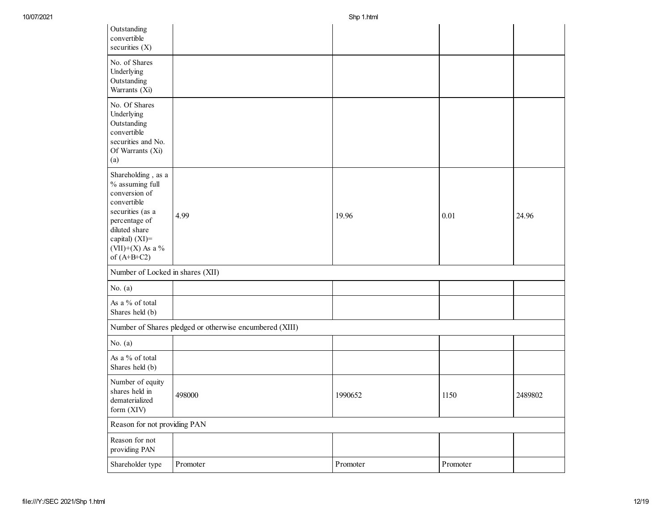| Outstanding<br>convertible<br>securities $(X)$                                                                                                                                       |                                                         |          |          |         |
|--------------------------------------------------------------------------------------------------------------------------------------------------------------------------------------|---------------------------------------------------------|----------|----------|---------|
| No. of Shares<br>Underlying<br>Outstanding<br>Warrants (Xi)                                                                                                                          |                                                         |          |          |         |
| No. Of Shares<br>Underlying<br>Outstanding<br>convertible<br>securities and No.<br>Of Warrants (Xi)<br>(a)                                                                           |                                                         |          |          |         |
| Shareholding, as a<br>% assuming full<br>conversion of<br>convertible<br>securities (as a<br>percentage of<br>diluted share<br>capital) (XI)=<br>$(VII)+(X)$ As a %<br>of $(A+B+C2)$ | 4.99                                                    | 19.96    | 0.01     | 24.96   |
| Number of Locked in shares (XII)                                                                                                                                                     |                                                         |          |          |         |
| No. $(a)$                                                                                                                                                                            |                                                         |          |          |         |
| As a % of total<br>Shares held (b)                                                                                                                                                   |                                                         |          |          |         |
|                                                                                                                                                                                      | Number of Shares pledged or otherwise encumbered (XIII) |          |          |         |
| No. $(a)$                                                                                                                                                                            |                                                         |          |          |         |
| As a % of total<br>Shares held (b)                                                                                                                                                   |                                                         |          |          |         |
| Number of equity<br>shares held in<br>dematerialized<br>form (XIV)                                                                                                                   | 498000                                                  | 1990652  | 1150     | 2489802 |
| Reason for not providing PAN                                                                                                                                                         |                                                         |          |          |         |
| Reason for not<br>providing PAN                                                                                                                                                      |                                                         |          |          |         |
| Shareholder type                                                                                                                                                                     | Promoter                                                | Promoter | Promoter |         |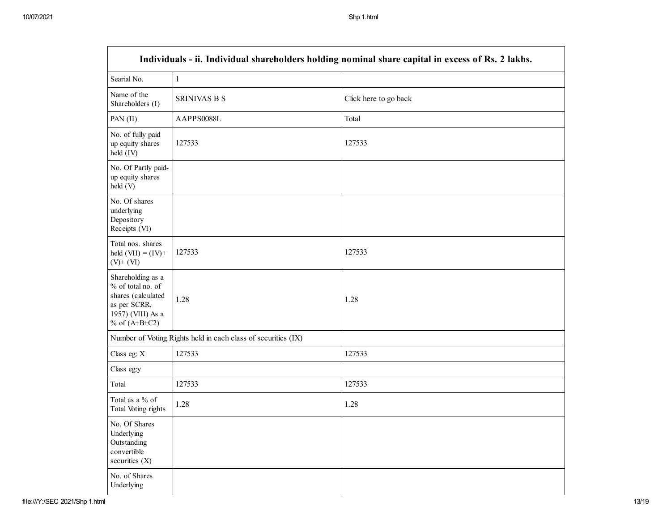| Individuals - ii. Individual shareholders holding nominal share capital in excess of Rs. 2 lakhs.                    |                                                               |                       |  |  |  |  |  |  |
|----------------------------------------------------------------------------------------------------------------------|---------------------------------------------------------------|-----------------------|--|--|--|--|--|--|
| Searial No.                                                                                                          | $\mathbf{1}$                                                  |                       |  |  |  |  |  |  |
| Name of the<br>Shareholders (I)                                                                                      | <b>SRINIVAS B S</b>                                           | Click here to go back |  |  |  |  |  |  |
| PAN (II)                                                                                                             | AAPPS0088L                                                    | Total                 |  |  |  |  |  |  |
| No. of fully paid<br>up equity shares<br>held (IV)                                                                   | 127533                                                        | 127533                |  |  |  |  |  |  |
| No. Of Partly paid-<br>up equity shares<br>held (V)                                                                  |                                                               |                       |  |  |  |  |  |  |
| No. Of shares<br>underlying<br>Depository<br>Receipts (VI)                                                           |                                                               |                       |  |  |  |  |  |  |
| Total nos. shares<br>held $(VII) = (IV) +$<br>$(V)$ + $(VI)$                                                         | 127533                                                        | 127533                |  |  |  |  |  |  |
| Shareholding as a<br>% of total no. of<br>shares (calculated<br>as per SCRR,<br>1957) (VIII) As a<br>% of $(A+B+C2)$ | 1.28                                                          | 1.28                  |  |  |  |  |  |  |
|                                                                                                                      | Number of Voting Rights held in each class of securities (IX) |                       |  |  |  |  |  |  |
| Class eg: X                                                                                                          | 127533                                                        | 127533                |  |  |  |  |  |  |
| Class eg:y                                                                                                           |                                                               |                       |  |  |  |  |  |  |
| Total                                                                                                                | 127533                                                        | 127533                |  |  |  |  |  |  |
| Total as a % of<br>Total Voting rights                                                                               | 1.28                                                          | 1.28                  |  |  |  |  |  |  |
| No. Of Shares<br>Underlying<br>Outstanding<br>convertible<br>securities (X)                                          |                                                               |                       |  |  |  |  |  |  |
| No. of Shares<br>Underlying                                                                                          |                                                               |                       |  |  |  |  |  |  |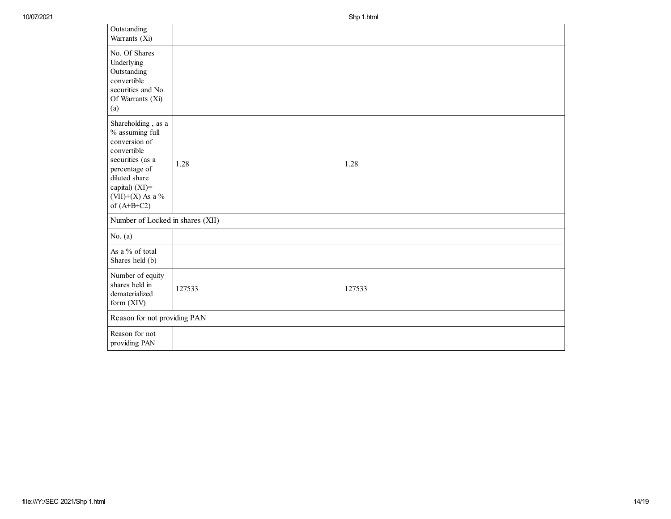| Outstanding<br>Warrants (Xi)                                                                                                                                                            |        |        |
|-----------------------------------------------------------------------------------------------------------------------------------------------------------------------------------------|--------|--------|
| No. Of Shares<br>Underlying<br>Outstanding<br>convertible<br>securities and No.<br>Of Warrants (Xi)<br>(a)                                                                              |        |        |
| Shareholding, as a<br>$\%$ assuming full<br>conversion of<br>convertible<br>securities (as a<br>percentage of<br>diluted share<br>capital) (XI)=<br>$(VII)+(X)$ As a %<br>of $(A+B+C2)$ | 1.28   | 1.28   |
| Number of Locked in shares (XII)                                                                                                                                                        |        |        |
| No. $(a)$                                                                                                                                                                               |        |        |
| As a % of total<br>Shares held (b)                                                                                                                                                      |        |        |
| Number of equity<br>shares held in<br>dematerialized<br>form (XIV)                                                                                                                      | 127533 | 127533 |
| Reason for not providing PAN                                                                                                                                                            |        |        |
| Reason for not<br>providing PAN                                                                                                                                                         |        |        |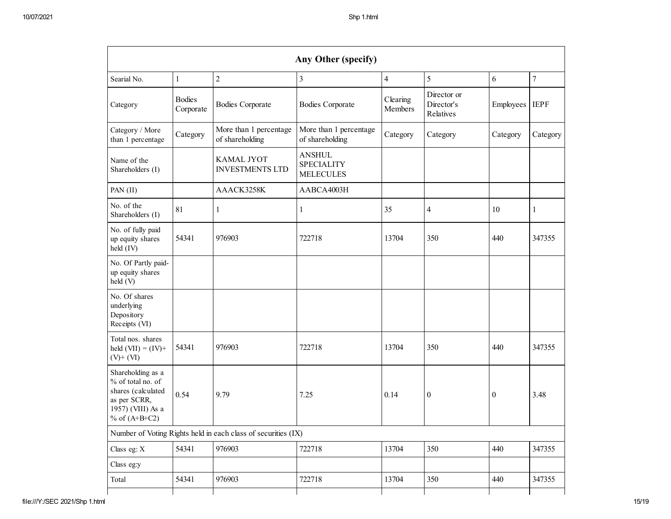| Any Other (specify)                                                                                                  |                            |                                                               |                                                        |                     |                  |                  |                  |  |  |  |
|----------------------------------------------------------------------------------------------------------------------|----------------------------|---------------------------------------------------------------|--------------------------------------------------------|---------------------|------------------|------------------|------------------|--|--|--|
| Searial No.                                                                                                          | $\mathbf{1}$               | $\sqrt{2}$                                                    | $\mathfrak{Z}$                                         | $\overline{4}$      | 5                | 6                | $\boldsymbol{7}$ |  |  |  |
| Category                                                                                                             | <b>Bodies</b><br>Corporate | <b>Bodies Corporate</b>                                       | <b>Bodies Corporate</b>                                | Clearing<br>Members |                  | Employees        | <b>IEPF</b>      |  |  |  |
| Category / More<br>than 1 percentage                                                                                 | Category                   | More than 1 percentage<br>of shareholding                     | More than 1 percentage<br>of shareholding              | Category            | Category         | Category         | Category         |  |  |  |
| Name of the<br>Shareholders (I)                                                                                      |                            | <b>KAMAL JYOT</b><br><b>INVESTMENTS LTD</b>                   | <b>ANSHUL</b><br><b>SPECIALITY</b><br><b>MELECULES</b> |                     |                  |                  |                  |  |  |  |
| PAN (II)                                                                                                             |                            | AAACK3258K                                                    | AABCA4003H                                             |                     |                  |                  |                  |  |  |  |
| No. of the<br>Shareholders (I)                                                                                       | 81                         | 1                                                             | 1                                                      | 35                  | $\overline{4}$   | 10               | 1                |  |  |  |
| No. of fully paid<br>up equity shares<br>held (IV)                                                                   | 54341                      | 976903                                                        | 722718                                                 | 13704               | 350              | 440              | 347355           |  |  |  |
| No. Of Partly paid-<br>up equity shares<br>held (V)                                                                  |                            |                                                               |                                                        |                     |                  |                  |                  |  |  |  |
| No. Of shares<br>underlying<br>Depository<br>Receipts (VI)                                                           |                            |                                                               |                                                        |                     |                  |                  |                  |  |  |  |
| Total nos. shares<br>held $(VII) = (IV) +$<br>$(V)$ + $(VI)$                                                         | 54341                      | 976903                                                        | 722718                                                 | 13704               | 350              | 440              | 347355           |  |  |  |
| Shareholding as a<br>% of total no. of<br>shares (calculated<br>as per SCRR,<br>1957) (VIII) As a<br>% of $(A+B+C2)$ | 0.54                       | 9.79                                                          | 7.25                                                   | 0.14                | $\boldsymbol{0}$ | $\boldsymbol{0}$ | 3.48             |  |  |  |
|                                                                                                                      |                            | Number of Voting Rights held in each class of securities (IX) |                                                        |                     |                  |                  |                  |  |  |  |
| Class eg: X                                                                                                          | 54341                      | 976903                                                        | 722718                                                 | 13704               | 350              | 440              | 347355           |  |  |  |
| Class eg:y                                                                                                           |                            |                                                               |                                                        |                     |                  |                  |                  |  |  |  |
| Total                                                                                                                | 54341                      | 976903                                                        | 722718                                                 | 13704               | 350              | 440              | 347355           |  |  |  |
|                                                                                                                      |                            |                                                               |                                                        |                     |                  |                  |                  |  |  |  |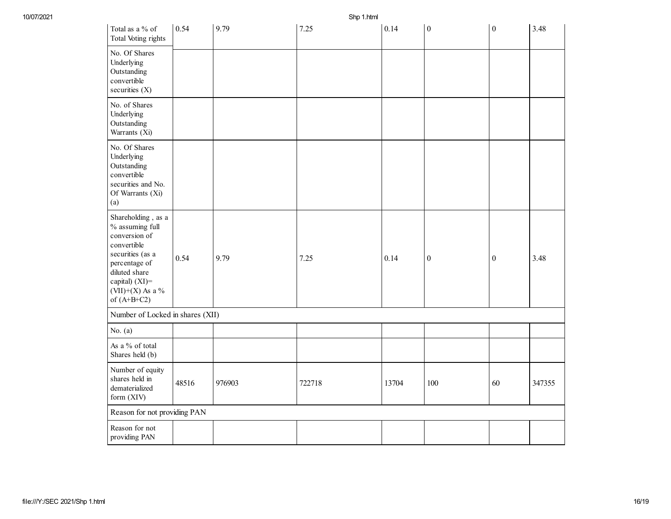Shp 1.html

| Total as a % of<br>Total Voting rights                                                                                                                                               | 0.54  | 9.79   | 7.25   | 0.14  | $\boldsymbol{0}$ | $\boldsymbol{0}$ | 3.48   |
|--------------------------------------------------------------------------------------------------------------------------------------------------------------------------------------|-------|--------|--------|-------|------------------|------------------|--------|
| No. Of Shares<br>Underlying<br>Outstanding<br>convertible<br>securities (X)                                                                                                          |       |        |        |       |                  |                  |        |
| No. of Shares<br>Underlying<br>Outstanding<br>Warrants (Xi)                                                                                                                          |       |        |        |       |                  |                  |        |
| No. Of Shares<br>Underlying<br>Outstanding<br>convertible<br>securities and No.<br>Of Warrants (Xi)<br>(a)                                                                           |       |        |        |       |                  |                  |        |
| Shareholding, as a<br>% assuming full<br>conversion of<br>convertible<br>securities (as a<br>percentage of<br>diluted share<br>capital) (XI)=<br>$(VII)+(X)$ As a %<br>of $(A+B+C2)$ | 0.54  | 9.79   | 7.25   | 0.14  | $\boldsymbol{0}$ | $\boldsymbol{0}$ | 3.48   |
| Number of Locked in shares (XII)                                                                                                                                                     |       |        |        |       |                  |                  |        |
| No. $(a)$                                                                                                                                                                            |       |        |        |       |                  |                  |        |
| As a % of total<br>Shares held (b)                                                                                                                                                   |       |        |        |       |                  |                  |        |
| Number of equity<br>shares held in<br>dematerialized<br>form (XIV)                                                                                                                   | 48516 | 976903 | 722718 | 13704 | 100              | 60               | 347355 |
| Reason for not providing PAN                                                                                                                                                         |       |        |        |       |                  |                  |        |
| Reason for not<br>providing PAN                                                                                                                                                      |       |        |        |       |                  |                  |        |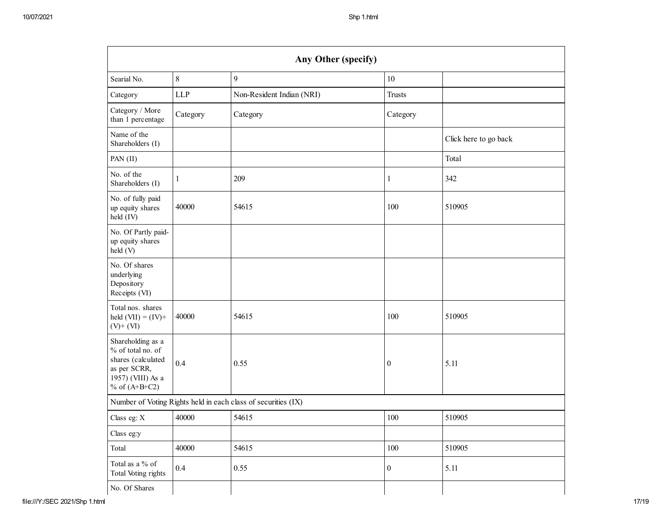| Any Other (specify)                                                                                                  |            |                                                               |                  |                       |  |  |  |  |  |
|----------------------------------------------------------------------------------------------------------------------|------------|---------------------------------------------------------------|------------------|-----------------------|--|--|--|--|--|
| Searial No.                                                                                                          | 8          | 9                                                             | $10\,$           |                       |  |  |  |  |  |
| Category                                                                                                             | <b>LLP</b> | Non-Resident Indian (NRI)                                     | <b>Trusts</b>    |                       |  |  |  |  |  |
| Category / More<br>than 1 percentage                                                                                 | Category   | Category                                                      | Category         |                       |  |  |  |  |  |
| Name of the<br>Shareholders (I)                                                                                      |            |                                                               |                  | Click here to go back |  |  |  |  |  |
| PAN (II)                                                                                                             |            |                                                               |                  | Total                 |  |  |  |  |  |
| No. of the<br>Shareholders (I)                                                                                       | 1          | 209                                                           | $\mathbf{1}$     | 342                   |  |  |  |  |  |
| No. of fully paid<br>up equity shares<br>held (IV)                                                                   | 40000      | 54615                                                         | 100              | 510905                |  |  |  |  |  |
| No. Of Partly paid-<br>up equity shares<br>held(V)                                                                   |            |                                                               |                  |                       |  |  |  |  |  |
| No. Of shares<br>underlying<br>Depository<br>Receipts (VI)                                                           |            |                                                               |                  |                       |  |  |  |  |  |
| Total nos. shares<br>held $(VII) = (IV) +$<br>$(V)$ + $(VI)$                                                         | 40000      | 54615                                                         | 100              | 510905                |  |  |  |  |  |
| Shareholding as a<br>% of total no. of<br>shares (calculated<br>as per SCRR,<br>1957) (VIII) As a<br>% of $(A+B+C2)$ | 0.4        | 0.55                                                          | $\boldsymbol{0}$ | 5.11                  |  |  |  |  |  |
|                                                                                                                      |            | Number of Voting Rights held in each class of securities (IX) |                  |                       |  |  |  |  |  |
| Class eg: X                                                                                                          | 40000      | 54615                                                         | 100              | 510905                |  |  |  |  |  |
| Class eg:y                                                                                                           |            |                                                               |                  |                       |  |  |  |  |  |
| Total                                                                                                                | 40000      | 54615                                                         | 100              | 510905                |  |  |  |  |  |
| Total as a % of<br>Total Voting rights                                                                               | 0.4        | 0.55                                                          | $\boldsymbol{0}$ | 5.11                  |  |  |  |  |  |
| No. Of Shares                                                                                                        |            |                                                               |                  |                       |  |  |  |  |  |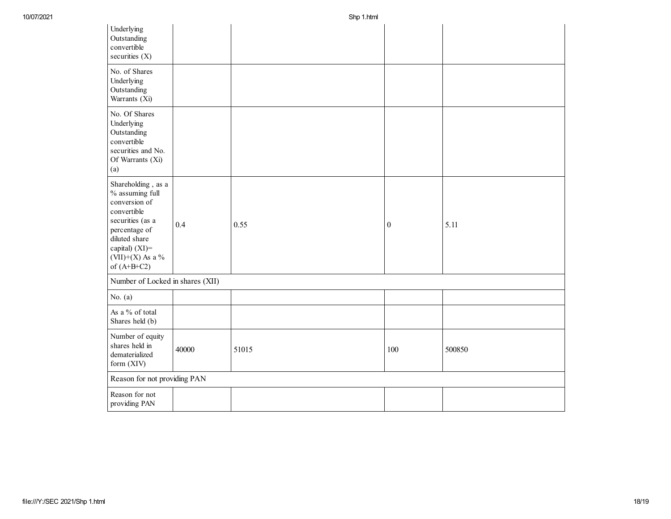| Underlying<br>Outstanding<br>convertible<br>securities $(X)$                                                                                                                       |       |       |                  |        |
|------------------------------------------------------------------------------------------------------------------------------------------------------------------------------------|-------|-------|------------------|--------|
| No. of Shares<br>Underlying<br>Outstanding<br>Warrants (Xi)                                                                                                                        |       |       |                  |        |
| No. Of Shares<br>Underlying<br>Outstanding<br>convertible<br>securities and No.<br>Of Warrants (Xi)<br>(a)                                                                         |       |       |                  |        |
| Shareholding, as a<br>% assuming full<br>conversion of<br>convertible<br>securities (as a<br>percentage of<br>diluted share<br>capital) (XI)=<br>(VII)+(X) As a %<br>of $(A+B+C2)$ | 0.4   | 0.55  | $\boldsymbol{0}$ | 5.11   |
| Number of Locked in shares (XII)                                                                                                                                                   |       |       |                  |        |
| No. $(a)$                                                                                                                                                                          |       |       |                  |        |
| As a % of total<br>Shares held (b)                                                                                                                                                 |       |       |                  |        |
| Number of equity<br>shares held in<br>dematerialized<br>form (XIV)                                                                                                                 | 40000 | 51015 | 100              | 500850 |
| Reason for not providing PAN                                                                                                                                                       |       |       |                  |        |
| Reason for not<br>providing PAN                                                                                                                                                    |       |       |                  |        |